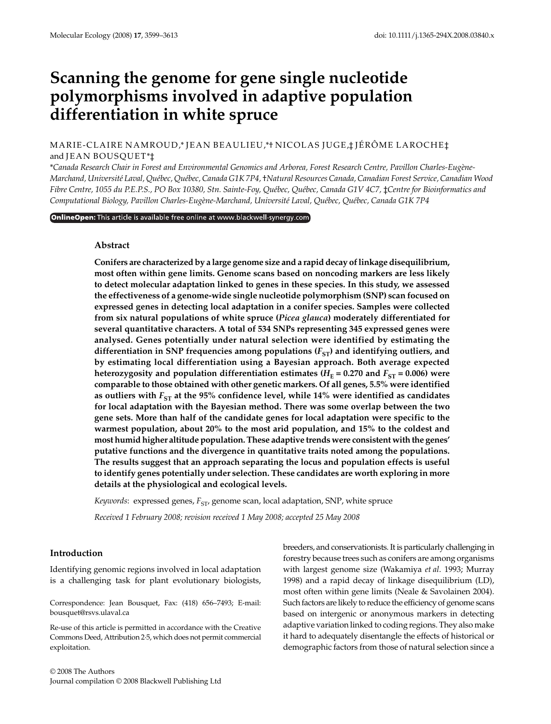# **Scanning the genome for gene single nucleotide polymorphisms involved in adaptive population differentiation in white spruce**

MARIE-CLAIRE NAMROUD,\* JEAN BEAULIEU,\*† NICOLAS JUGE,‡ JÉRÔME LAROCHE‡ and JEAN BOUSQUET\*‡

\**Canada Research Chair in Forest and Environmental Genomics and Arborea, Forest Research Centre, Pavillon Charles-Eugène-Marchand, Université Laval, Québec, Québec, Canada G1K 7P4,* †*Natural Resources Canada, Canadian Forest Service, Canadian Wood Fibre Centre, 1055 du P.E.P.S., PO Box 10380, Stn. Sainte-Foy, Québec, Québec, Canada G1V 4C7,* ‡*Centre for Bioinformatics and Computational Biology, Pavillon Charles-Eugène-Marchand, Université Laval, Québec, Québec, Canada G1K 7P4*

OnlineOpen: This article is available free online at www.blackwell-synergy.com

# **Abstract**

**Conifers are characterized by a large genome size and a rapid decay of linkage disequilibrium, most often within gene limits. Genome scans based on noncoding markers are less likely to detect molecular adaptation linked to genes in these species. In this study, we assessed the effectiveness of a genome-wide single nucleotide polymorphism (SNP) scan focused on expressed genes in detecting local adaptation in a conifer species. Samples were collected from six natural populations of white spruce (***Picea glauca***) moderately differentiated for several quantitative characters. A total of 534 SNPs representing 345 expressed genes were analysed. Genes potentially under natural selection were identified by estimating the** differentiation in SNP frequencies among populations  $(F_{ST})$  and identifying outliers, and **by estimating local differentiation using a Bayesian approach. Both average expected heterozygosity and population differentiation estimates (** $H_F$  **= 0.270 and**  $F_{ST}$  **= 0.006) were comparable to those obtained with other genetic markers. Of all genes, 5.5% were identified** as outliers with  $F_{ST}$  at the 95% confidence level, while 14% were identified as candidates **for local adaptation with the Bayesian method. There was some overlap between the two gene sets. More than half of the candidate genes for local adaptation were specific to the warmest population, about 20% to the most arid population, and 15% to the coldest and most humid higher altitude population. These adaptive trends were consistent with the genes' putative functions and the divergence in quantitative traits noted among the populations. The results suggest that an approach separating the locus and population effects is useful to identify genes potentially under selection. These candidates are worth exploring in more details at the physiological and ecological levels.**

*Keywords*: expressed genes,  $F_{ST}$ , genome scan, local adaptation, SNP, white spruce *Received 1 February 2008; revision received 1 May 2008; accepted 25 May 2008*

#### **Introduction**

Identifying genomic regions involved in local adaptation is a challenging task for plant evolutionary biologists,

Correspondence: Jean Bousquet, Fax: (418) 656–7493; E-mail: bousquet@rsvs.ulaval.ca

Re-use of this article is permitted in accordance with the Creative Commons Deed, Attribution 2·5, which does not permit commercial exploitation.

© 2008 The Authors Journal compilation © 2008 Blackwell Publishing Ltd breeders, and conservationists. It is particularly challenging in forestry because trees such as conifers are among organisms with largest genome size (Wakamiya *et al*. 1993; Murray 1998) and a rapid decay of linkage disequilibrium (LD), most often within gene limits (Neale & Savolainen 2004). Such factors are likely to reduce the efficiency of genome scans based on intergenic or anonymous markers in detecting adaptive variation linked to coding regions. They also make it hard to adequately disentangle the effects of historical or demographic factors from those of natural selection since a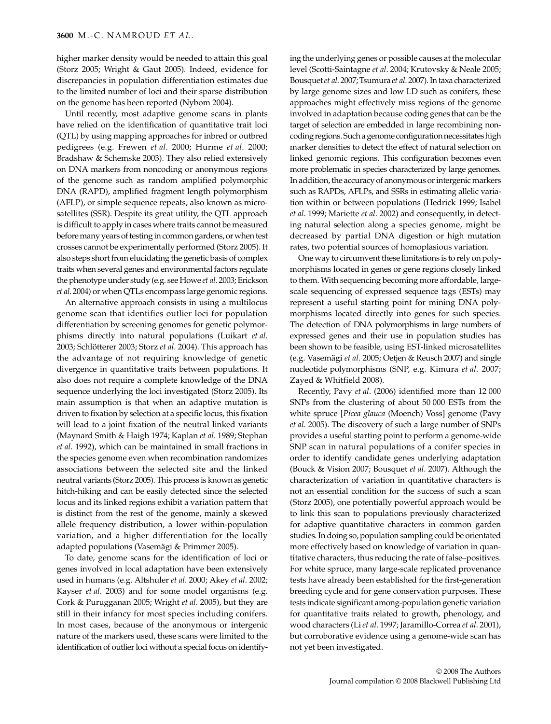higher marker density would be needed to attain this goal (Storz 2005; Wright & Gaut 2005). Indeed, evidence for discrepancies in population differentiation estimates due to the limited number of loci and their sparse distribution on the genome has been reported (Nybom 2004).

Until recently, most adaptive genome scans in plants have relied on the identification of quantitative trait loci (QTL) by using mapping approaches for inbred or outbred pedigrees (e.g. Frewen *et al*. 2000; Hurme *et al*. 2000; Bradshaw & Schemske 2003). They also relied extensively on DNA markers from noncoding or anonymous regions of the genome such as random amplified polymorphic DNA (RAPD), amplified fragment length polymorphism (AFLP), or simple sequence repeats, also known as microsatellites (SSR). Despite its great utility, the QTL approach is difficult to apply in cases where traits cannot be measured before many years of testing in common gardens, or when test crosses cannot be experimentally performed (Storz 2005). It also steps short from elucidating the genetic basis of complex traits when several genes and environmental factors regulate the phenotype under study (e.g. see Howe *et al*. 2003; Erickson *et al*. 2004) or when QTLs encompass large genomic regions.

An alternative approach consists in using a multilocus genome scan that identifies outlier loci for population differentiation by screening genomes for genetic polymorphisms directly into natural populations (Luikart *et al*. 2003; Schlötterer 2003; Storz *et al*. 2004). This approach has the advantage of not requiring knowledge of genetic divergence in quantitative traits between populations. It also does not require a complete knowledge of the DNA sequence underlying the loci investigated (Storz 2005). Its main assumption is that when an adaptive mutation is driven to fixation by selection at a specific locus, this fixation will lead to a joint fixation of the neutral linked variants (Maynard Smith & Haigh 1974; Kaplan *et al*. 1989; Stephan *et al*. 1992), which can be maintained in small fractions in the species genome even when recombination randomizes associations between the selected site and the linked neutral variants (Storz 2005). This process is known as genetic hitch-hiking and can be easily detected since the selected locus and its linked regions exhibit a variation pattern that is distinct from the rest of the genome, mainly a skewed allele frequency distribution, a lower within-population variation, and a higher differentiation for the locally adapted populations (Vasemägi & Primmer 2005).

To date, genome scans for the identification of loci or genes involved in local adaptation have been extensively used in humans (e.g. Altshuler *et al*. 2000; Akey *et al*. 2002; Kayser *et al*. 2003) and for some model organisms (e.g. Cork & Purugganan 2005; Wright *et al*. 2005), but they are still in their infancy for most species including conifers. In most cases, because of the anonymous or intergenic nature of the markers used, these scans were limited to the identification of outlier loci without a special focus on identifying the underlying genes or possible causes at the molecular level (Scotti-Saintagne *et al*. 2004; Krutovsky & Neale 2005; Bousquet *et al*. 2007; Tsumura *et al*. 2007). In taxa characterized by large genome sizes and low LD such as conifers, these approaches might effectively miss regions of the genome involved in adaptation because coding genes that can be the target of selection are embedded in large recombining noncoding regions. Such a genome configuration necessitates high marker densities to detect the effect of natural selection on linked genomic regions. This configuration becomes even more problematic in species characterized by large genomes. In addition, the accuracy of anonymous or intergenic markers such as RAPDs, AFLPs, and SSRs in estimating allelic variation within or between populations (Hedrick 1999; Isabel *et al*. 1999; Mariette *et al*. 2002) and consequently, in detecting natural selection along a species genome, might be decreased by partial DNA digestion or high mutation rates, two potential sources of homoplasious variation.

One way to circumvent these limitations is to rely on polymorphisms located in genes or gene regions closely linked to them. With sequencing becoming more affordable, largescale sequencing of expressed sequence tags (ESTs) may represent a useful starting point for mining DNA polymorphisms located directly into genes for such species. The detection of DNA polymorphisms in large numbers of expressed genes and their use in population studies has been shown to be feasible, using EST-linked microsatellites (e.g. Vasemägi *et al*. 2005; Oetjen & Reusch 2007) and single nucleotide polymorphisms (SNP, e.g. Kimura *et al*. 2007; Zayed & Whitfield 2008).

Recently, Pavy *et al*. (2006) identified more than 12 000 SNPs from the clustering of about 50 000 ESTs from the white spruce [*Picea glauca* (Moench) Voss] genome (Pavy *et al*. 2005). The discovery of such a large number of SNPs provides a useful starting point to perform a genome-wide SNP scan in natural populations of a conifer species in order to identify candidate genes underlying adaptation (Bouck & Vision 2007; Bousquet *et al*. 2007). Although the characterization of variation in quantitative characters is not an essential condition for the success of such a scan (Storz 2005), one potentially powerful approach would be to link this scan to populations previously characterized for adaptive quantitative characters in common garden studies. In doing so, population sampling could be orientated more effectively based on knowledge of variation in quantitative characters, thus reducing the rate of false–positives. For white spruce, many large-scale replicated provenance tests have already been established for the first-generation breeding cycle and for gene conservation purposes. These tests indicate significant among-population genetic variation for quantitative traits related to growth, phenology, and wood characters (Li *et al*. 1997; Jaramillo-Correa *et al*. 2001), but corroborative evidence using a genome-wide scan has not yet been investigated.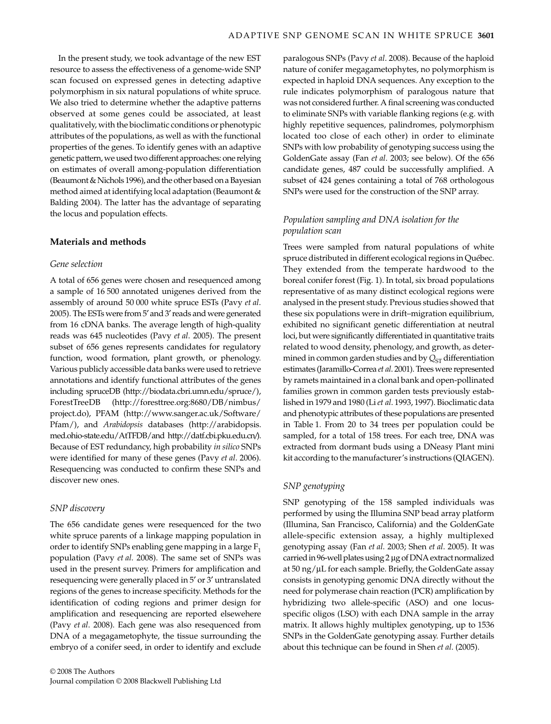In the present study, we took advantage of the new EST resource to assess the effectiveness of a genome-wide SNP scan focused on expressed genes in detecting adaptive polymorphism in six natural populations of white spruce. We also tried to determine whether the adaptive patterns observed at some genes could be associated, at least qualitatively, with the bioclimatic conditions or phenotypic attributes of the populations, as well as with the functional properties of the genes. To identify genes with an adaptive genetic pattern, we used two different approaches: one relying on estimates of overall among-population differentiation (Beaumont & Nichols 1996), and the other based on a Bayesian method aimed at identifying local adaptation (Beaumont & Balding 2004). The latter has the advantage of separating the locus and population effects.

## **Materials and methods**

# *Gene selection*

A total of 656 genes were chosen and resequenced among a sample of 16 500 annotated unigenes derived from the assembly of around 50 000 white spruce ESTs (Pavy *et al*. 2005). The ESTs were from 5′ and 3′ reads and were generated from 16 cDNA banks. The average length of high-quality reads was 645 nucleotides (Pavy *et al*. 2005). The present subset of 656 genes represents candidates for regulatory function, wood formation, plant growth, or phenology. Various publicly accessible data banks were used to retrieve annotations and identify functional attributes of the genes including spruceDB [\(http://biodata.cbri.umn.edu/spruce/\),](http://biodata.cbri.umn.edu/spruce/) ForestTreeDB [\(http://foresttree.org:8680/DB/nimbus/](http://foresttree.org:8680/DB/nimbus/project.do) project.do), PFAM [\(http://www.sanger.ac.uk/Software/](http://www.sanger.ac.uk/Software/Pfam/) Pfam/), and *Arabidopsis* databases [\(http://arabidopsis.](http://arabidopsis.med.ohio-state.edu/AtTFDB/) [med.ohio-state.edu/AtTFDB/](http://arabidopsismed.ohio-state.edu/AtTFDB/)and [http://datf.cbi.pku.edu.cn](http://datf.cbi.pku.edu.cn/)*/*). Because of EST redundancy, high probability *in silico* SNPs were identified for many of these genes (Pavy *et al*. 2006). Resequencing was conducted to confirm these SNPs and discover new ones.

#### *SNP discovery*

The 656 candidate genes were resequenced for the two white spruce parents of a linkage mapping population in order to identify SNPs enabling gene mapping in a large  $F_1$ population (Pavy *et al*. 2008). The same set of SNPs was used in the present survey. Primers for amplification and resequencing were generally placed in 5′ or 3′ untranslated regions of the genes to increase specificity. Methods for the identification of coding regions and primer design for amplification and resequencing are reported elsewehere (Pavy *et al*. 2008). Each gene was also resequenced from DNA of a megagametophyte, the tissue surrounding the embryo of a conifer seed, in order to identify and exclude paralogous SNPs (Pavy *et al*. 2008). Because of the haploid nature of conifer megagametophytes, no polymorphism is expected in haploid DNA sequences. Any exception to the rule indicates polymorphism of paralogous nature that was not considered further. A final screening was conducted to eliminate SNPs with variable flanking regions (e.g. with highly repetitive sequences, palindromes, polymorphism located too close of each other) in order to eliminate SNPs with low probability of genotyping success using the GoldenGate assay (Fan *et al*. 2003; see below). Of the 656 candidate genes, 487 could be successfully amplified. A subset of 424 genes containing a total of 768 orthologous SNPs were used for the construction of the SNP array.

# *Population sampling and DNA isolation for the population scan*

Trees were sampled from natural populations of white spruce distributed in different ecological regions in Québec. They extended from the temperate hardwood to the boreal conifer forest (Fig. 1). In total, six broad populations representative of as many distinct ecological regions were analysed in the present study. Previous studies showed that these six populations were in drift–migration equilibrium, exhibited no significant genetic differentiation at neutral loci, but were significantly differentiated in quantitative traits related to wood density, phenology, and growth, as determined in common garden studies and by  $Q_{ST}$  differentiation estimates (Jaramillo-Correa *et al*. 2001). Trees were represented by ramets maintained in a clonal bank and open-pollinated families grown in common garden tests previously established in 1979 and 1980 (Li *et al*. 1993, 1997). Bioclimatic data and phenotypic attributes of these populations are presented in Table 1. From 20 to 34 trees per population could be sampled, for a total of 158 trees. For each tree, DNA was extracted from dormant buds using a DNeasy Plant mini kit according to the manufacturer's instructions (QIAGEN).

#### *SNP genotyping*

SNP genotyping of the 158 sampled individuals was performed by using the Illumina SNP bead array platform (Illumina, San Francisco, California) and the GoldenGate allele-specific extension assay, a highly multiplexed genotyping assay (Fan *et al*. 2003; Shen *et al*. 2005). It was carried in 96-well plates using 2 μg of DNA extract normalized at 50 ng/μL for each sample. Briefly, the GoldenGate assay consists in genotyping genomic DNA directly without the need for polymerase chain reaction (PCR) amplification by hybridizing two allele-specific (ASO) and one locusspecific oligos (LSO) with each DNA sample in the array matrix. It allows highly multiplex genotyping, up to 1536 SNPs in the GoldenGate genotyping assay. Further details about this technique can be found in Shen *et al*. (2005).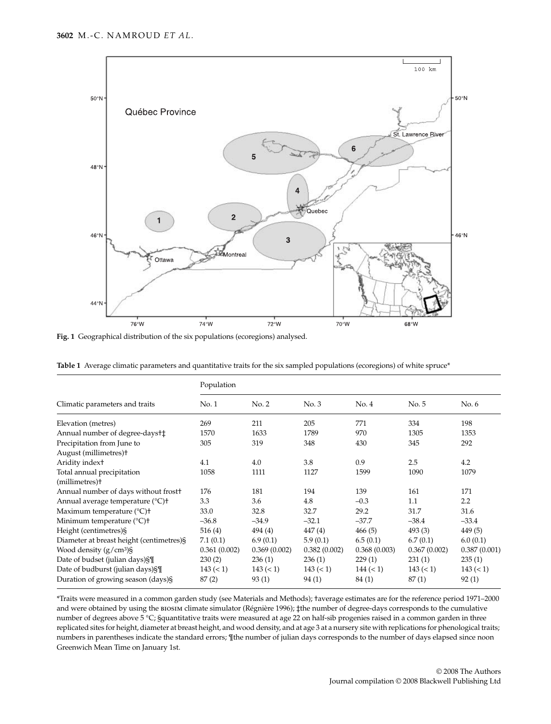

**Fig. 1** Geographical distribution of the six populations (ecoregions) analysed.

|  | Table 1 Average climatic parameters and quantitative traits for the six sampled populations (ecoregions) of white spruce* |  |  |  |
|--|---------------------------------------------------------------------------------------------------------------------------|--|--|--|
|  |                                                                                                                           |  |  |  |

|                                                | Population   |              |              |              |              |              |  |
|------------------------------------------------|--------------|--------------|--------------|--------------|--------------|--------------|--|
| Climatic parameters and traits                 | No.1         | No. 2        | No. 3        | No. 4        | No. 5        | No. 6        |  |
| Elevation (metres)                             | 269          | 211          | 205          | 771          | 334          | 198          |  |
| Annual number of degree-dayst‡                 | 1570         | 1633         | 1789         | 970          | 1305         | 1353         |  |
| Precipitation from June to                     | 305          | 319          | 348          | 430          | 345          | 292          |  |
| August (millimetres)+                          |              |              |              |              |              |              |  |
| Aridity indext                                 | 4.1          | 4.0          | 3.8          | 0.9          | 2.5          | 4.2          |  |
| Total annual precipitation                     | 1058         | 1111         | 1127         | 1599         | 1090         | 1079         |  |
| (millimetres) <sup>+</sup>                     |              |              |              |              |              |              |  |
| Annual number of days without frost+           | 176          | 181          | 194          | 139          | 161          | 171          |  |
| Annual average temperature (°C) <sup>+</sup>   | 3.3          | 3.6          | 4.8          | $-0.3$       | 1.1          | 2.2          |  |
| Maximum temperature $(^{\circ}C)$ <sup>+</sup> | 33.0         | 32.8         | 32.7         | 29.2         | 31.7         | 31.6         |  |
| Minimum temperature $(^{\circ}C)$ <sup>+</sup> | $-36.8$      | $-34.9$      | $-32.1$      | $-37.7$      | $-38.4$      | $-33.4$      |  |
| Height (centimetres)§                          | 516(4)       | 494(4)       | 447(4)       | 466(5)       | 493(3)       | 449 (5)      |  |
| Diameter at breast height (centimetres)§       | 7.1(0.1)     | 6.9(0.1)     | 5.9(0.1)     | 6.5(0.1)     | 6.7(0.1)     | 6.0(0.1)     |  |
| Wood density $(g/cm3)\$                        | 0.361(0.002) | 0.369(0.002) | 0.382(0.002) | 0.368(0.003) | 0.367(0.002) | 0.387(0.001) |  |
| Date of budset (julian days) S¶                | 230(2)       | 236(1)       | 236(1)       | 229(1)       | 231(1)       | 235(1)       |  |
| Date of budburst (julian days) S <sup>I</sup>  | 143 (< 1)    | 143 (< 1)    | 143 (< 1)    | 144 (< 1)    | 143 (< 1)    | 143 (< 1)    |  |
| Duration of growing season (days)§             | 87(2)        | 93(1)        | 94(1)        | 84 (1)       | 87(1)        | 92(1)        |  |

\*Traits were measured in a common garden study (see Materials and Methods); †average estimates are for the reference period 1971–2000 and were obtained by using the biosim climate simulator (Régnière 1996); ‡the number of degree-days corresponds to the cumulative number of degrees above 5 °C; Squantitative traits were measured at age 22 on half-sib progenies raised in a common garden in three replicated sites for height, diameter at breast height, and wood density, and at age 3 at a nursery site with replications for phenological traits; numbers in parentheses indicate the standard errors; ¶the number of julian days corresponds to the number of days elapsed since noon Greenwich Mean Time on January 1st.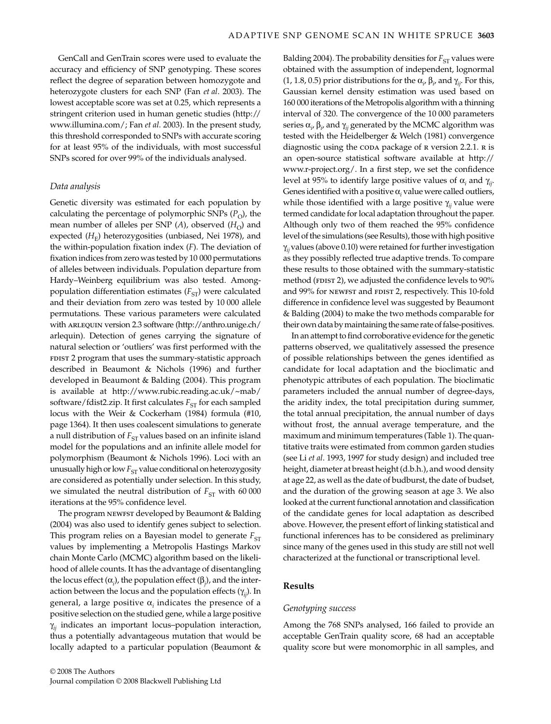GenCall and GenTrain scores were used to evaluate the accuracy and efficiency of SNP genotyping. These scores reflect the degree of separation between homozygote and heterozygote clusters for each SNP (Fan *et al*. 2003). The lowest acceptable score was set at 0.25, which represents a stringent criterion used in human genetic studies [\(http://](http://www.illumina.com/) [www.illumina.com/;](http://www.illumina.com/) Fan *et al*. 2003). In the present study, this threshold corresponded to SNPs with accurate scoring for at least 95% of the individuals, with most successful SNPs scored for over 99% of the individuals analysed.

#### *Data analysis*

Genetic diversity was estimated for each population by calculating the percentage of polymorphic SNPs  $(P<sub>O</sub>)$ , the mean number of alleles per SNP  $(A)$ , observed  $(H<sub>O</sub>)$  and expected  $(H_F)$  heterozygosities (unbiased, Nei 1978), and the within-population fixation index (*F*). The deviation of fixation indices from zero was tested by 10 000 permutations of alleles between individuals. Population departure from Hardy–Weinberg equilibrium was also tested. Amongpopulation differentiation estimates  $(F_{ST})$  were calculated and their deviation from zero was tested by 10 000 allele permutations. These various parameters were calculated with ARLEQUIN version 2.3 software [\(http://anthro.unige.ch/](http://anthro.unige.ch/arlequin) arlequin). Detection of genes carrying the signature of natural selection or 'outliers' was first performed with the FDIST 2 program that uses the summary-statistic approach described in Beaumont & Nichols (1996) and further developed in Beaumont & Balding (2004). This program is available at [http://www.rubic.reading.ac.uk/~mab/](http://www.rubic.reading.ac.uk/~mab/software/fdist2.zip) [software/fdist2.zip](http://www.rubic.reading.ac.uk/~mab/software/fdist2.zip). It first calculates  $F_{ST}$  for each sampled locus with the Weir & Cockerham (1984) formula (#10, page 1364). It then uses coalescent simulations to generate a null distribution of  $F_{ST}$  values based on an infinite island model for the populations and an infinite allele model for polymorphism (Beaumont & Nichols 1996). Loci with an unusually high or low  $F_{ST}$  value conditional on heterozygosity are considered as potentially under selection. In this study, we simulated the neutral distribution of  $F_{ST}$  with 60 000 iterations at the 95% confidence level.

The program NEWFST developed by Beaumont & Balding (2004) was also used to identify genes subject to selection. This program relies on a Bayesian model to generate  $F_{ST}$ values by implementing a Metropolis Hastings Markov chain Monte Carlo (MCMC) algorithm based on the likelihood of allele counts. It has the advantage of disentangling the locus effect ( $α<sub>i</sub>$ ), the population effect ( $β<sub>j</sub>$ ), and the interaction between the locus and the population effects (γ*ij*). In general, a large positive  $\alpha_i$  indicates the presence of a positive selection on the studied gene, while a large positive γ*ij* indicates an important locus–population interaction, thus a potentially advantageous mutation that would be locally adapted to a particular population (Beaumont &

Balding 2004). The probability densities for  $F_{ST}$  values were obtained with the assumption of independent, lognormal (1, 1.8, 0.5) prior distributions for the  $\alpha_i$ ,  $\beta_i$ , and  $\gamma_{ij}$ . For this, Gaussian kernel density estimation was used based on 160 000 iterations of the Metropolis algorithm with a thinning interval of 320. The convergence of the 10 000 parameters series  $\alpha_{i'}^{}\,\beta_{i'}^{}$  and  $\gamma_{ij}^{}$  generated by the MCMC algorithm was tested with the Heidelberger & Welch (1981) convergence diagnostic using the CODA package of R version 2.2.1. R is an open-source statistical software available at [http://](http://www.r-project.org/) [www.r-project.org/.](http://www.r-project.org/) In a first step, we set the confidence level at 95% to identify large positive values of  $\alpha_i$  and  $\gamma_{ij}$ . Genes identified with a positive  $\alpha_i$  value were called outliers, while those identified with a large positive γ*ij* value were termed candidate for local adaptation throughout the paper. Although only two of them reached the 95% confidence level of the simulations (see Results), those with high positive γ*ij* values (above 0.10) were retained for further investigation as they possibly reflected true adaptive trends. To compare these results to those obtained with the summary-statistic method (FDIST 2), we adjusted the confidence levels to 90% and 99% for NEWFST and FDIST 2, respectively. This 10-fold difference in confidence level was suggested by Beaumont & Balding (2004) to make the two methods comparable for their own data by maintaining the same rate of false-positives.

In an attempt to find corroborative evidence for the genetic patterns observed, we qualitatively assessed the presence of possible relationships between the genes identified as candidate for local adaptation and the bioclimatic and phenotypic attributes of each population. The bioclimatic parameters included the annual number of degree-days, the aridity index, the total precipitation during summer, the total annual precipitation, the annual number of days without frost, the annual average temperature, and the maximum and minimum temperatures (Table 1). The quantitative traits were estimated from common garden studies (see Li *et al*. 1993, 1997 for study design) and included tree height, diameter at breast height (d.b.h.), and wood density at age 22, as well as the date of budburst, the date of budset, and the duration of the growing season at age 3. We also looked at the current functional annotation and classification of the candidate genes for local adaptation as described above. However, the present effort of linking statistical and functional inferences has to be considered as preliminary since many of the genes used in this study are still not well characterized at the functional or transcriptional level.

## **Results**

#### *Genotyping success*

Among the 768 SNPs analysed, 166 failed to provide an acceptable GenTrain quality score, 68 had an acceptable quality score but were monomorphic in all samples, and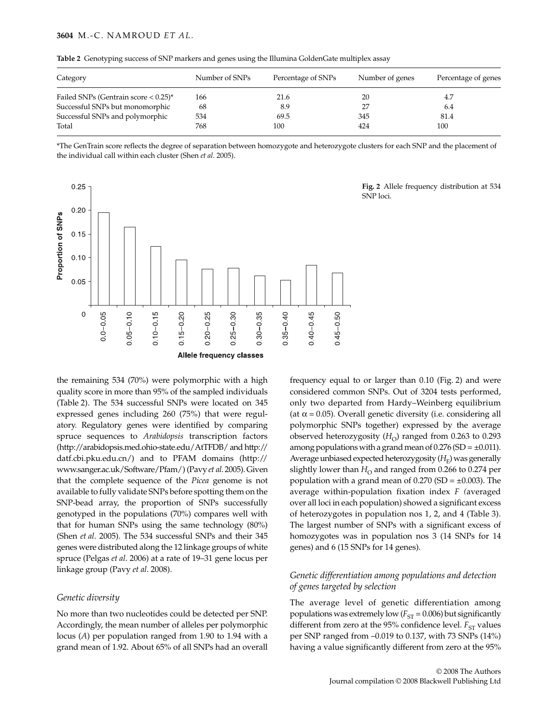## **3604** M.-C. NAMROUD *ET AL.*

| Category                                | Number of SNPs | Percentage of SNPs | Number of genes | Percentage of genes |
|-----------------------------------------|----------------|--------------------|-----------------|---------------------|
| Failed SNPs (Gentrain score $< 0.25$ )* | 166            | 21.6               | 20              | 4.7                 |
| Successful SNPs but monomorphic         | 68             | 8.9                | 27              | 6.4                 |
| Successful SNPs and polymorphic         | 534            | 69.5               | 345             | 81.4                |
| Total                                   | 768            | 100                | 424             | 100                 |

**Table 2** Genotyping success of SNP markers and genes using the Illumina GoldenGate multiplex assay

\*The GenTrain score reflects the degree of separation between homozygote and heterozygote clusters for each SNP and the placement of the individual call within each cluster (Shen *et al*. 2005).



the remaining 534 (70%) were polymorphic with a high quality score in more than 95% of the sampled individuals (Table 2). The 534 successful SNPs were located on 345 expressed genes including 260 (75%) that were regulatory. Regulatory genes were identified by comparing spruce sequences to *Arabidopsis* transcription factors [\(http://arabidopsis.med.ohio-state.edu/AtTFDB/](http://arabidopsis.med.ohio-state.edu/AtTFDB/) and [http://](http://datf.cbi.pku.edu.cn/) [datf.cbi.pku.edu.cn/\)](http://datf.cbi.pku.edu.cn/) and to PFAM domains [\(http://](http://www.sanger.ac.uk/Software/Pfam/) [www.sanger.ac.uk/Software/Pfam/\)](http://www.sanger.ac.uk/Software/Pfam/) (Pavy *et al*. 2005). Given that the complete sequence of the *Picea* genome is not available to fully validate SNPs before spotting them on the SNP-bead array, the proportion of SNPs successfully genotyped in the populations (70%) compares well with that for human SNPs using the same technology (80%) (Shen *et al*. 2005). The 534 successful SNPs and their 345 genes were distributed along the 12 linkage groups of white spruce (Pelgas *et al*. 2006) at a rate of 19–31 gene locus per linkage group (Pavy *et al*. 2008).

#### *Genetic diversity*

No more than two nucleotides could be detected per SNP. Accordingly, the mean number of alleles per polymorphic locus (*A*) per population ranged from 1.90 to 1.94 with a grand mean of 1.92. About 65% of all SNPs had an overall frequency equal to or larger than 0.10 (Fig. 2) and were considered common SNPs. Out of 3204 tests performed, only two departed from Hardy–Weinberg equilibrium (at  $\alpha$  = 0.05). Overall genetic diversity (i.e. considering all polymorphic SNPs together) expressed by the average observed heterozygosity  $(H<sub>O</sub>)$  ranged from 0.263 to 0.293 among populations with a grand mean of  $0.276$  (SD =  $\pm 0.011$ ). Average unbiased expected heterozygosity (H<sub>E</sub>) was generally slightly lower than  $H<sub>O</sub>$  and ranged from 0.266 to 0.274 per population with a grand mean of  $0.270$  (SD =  $\pm 0.003$ ). The average within-population fixation index *F (*averaged over all loci in each population) showed a significant excess of heterozygotes in population nos 1, 2, and 4 (Table 3). The largest number of SNPs with a significant excess of homozygotes was in population nos 3 (14 SNPs for 14 genes) and 6 (15 SNPs for 14 genes).

# *Genetic differentiation among populations and detection of genes targeted by selection*

The average level of genetic differentiation among populations was extremely low  $(F_{ST} = 0.006)$  but significantly different from zero at the 95% confidence level.  $F_{ST}$  values per SNP ranged from –0.019 to 0.137, with 73 SNPs (14%) having a value significantly different from zero at the 95%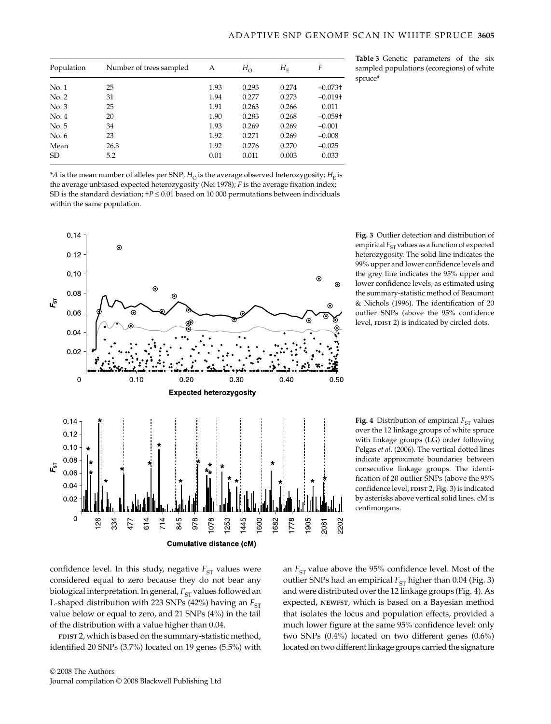| Population | Number of trees sampled | А    | $H_{\Omega}$ | $H_{\scriptscriptstyle\rm E}$ | F                     |
|------------|-------------------------|------|--------------|-------------------------------|-----------------------|
| No. 1      | 25                      | 1.93 | 0.293        | 0.274                         | $-0.073$ <sup>+</sup> |
| No. 2      | 31                      | 1.94 | 0.277        | 0.273                         | $-0.019$ <sup>+</sup> |
| No. 3      | 25                      | 1.91 | 0.263        | 0.266                         | 0.011                 |
| No. 4      | 20                      | 1.90 | 0.283        | 0.268                         | $-0.059$ <sup>+</sup> |
| No. 5      | 34                      | 1.93 | 0.269        | 0.269                         | $-0.001$              |
| No. 6      | 23                      | 1.92 | 0.271        | 0.269                         | $-0.008$              |
| Mean       | 26.3                    | 1.92 | 0.276        | 0.270                         | $-0.025$              |
| <b>SD</b>  | 5.2                     | 0.01 | 0.011        | 0.003                         | 0.033                 |

 $*$ *A* is the mean number of alleles per SNP,  $H_{\rm O}$  is the average observed heterozygosity;  $H_{\rm E}$  is the average unbiased expected heterozygosity (Nei 1978); *F* is the average fixation index; SD is the standard deviation;  $\tau P \le 0.01$  based on 10 000 permutations between individuals within the same population.



**Table 3** Genetic parameters of the six sampled populations (ecoregions) of white spruce\*

**Fig. 3** Outlier detection and distribution of empirical  $F_{ST}$  values as a function of expected heterozygosity. The solid line indicates the 99% upper and lower confidence levels and the grey line indicates the 95% upper and lower confidence levels, as estimated using the summary-statistic method of Beaumont & Nichols (1996). The identification of 20 outlier SNPs (above the 95% confidence level, FDIST 2) is indicated by circled dots.

**Fig. 4** Distribution of empirical  $F_{ST}$  values over the 12 linkage groups of white spruce with linkage groups (LG) order following Pelgas *et al*. (2006). The vertical dotted lines indicate approximate boundaries between consecutive linkage groups. The identification of 20 outlier SNPs (above the 95% confidence level, FDIST 2, Fig. 3) is indicated by asterisks above vertical solid lines. cM is centimorgans.

confidence level. In this study, negative  $F_{ST}$  values were considered equal to zero because they do not bear any biological interpretation. In general,  $F_{ST}$  values followed an L-shaped distribution with 223 SNPs (42%) having an  $F_{ST}$ value below or equal to zero, and 21 SNPs (4%) in the tail of the distribution with a value higher than 0.04.

FDIST 2, which is based on the summary-statistic method, identified 20 SNPs (3.7%) located on 19 genes (5.5%) with

an  $F_{ST}$  value above the 95% confidence level. Most of the outlier SNPs had an empirical *F*<sub>ST</sub> higher than 0.04 (Fig. 3) and were distributed over the 12 linkage groups (Fig. 4). As expected, NEWFST, which is based on a Bayesian method that isolates the locus and population effects, provided a much lower figure at the same 95% confidence level: only two SNPs (0.4%) located on two different genes (0.6%) located on two different linkage groups carried the signature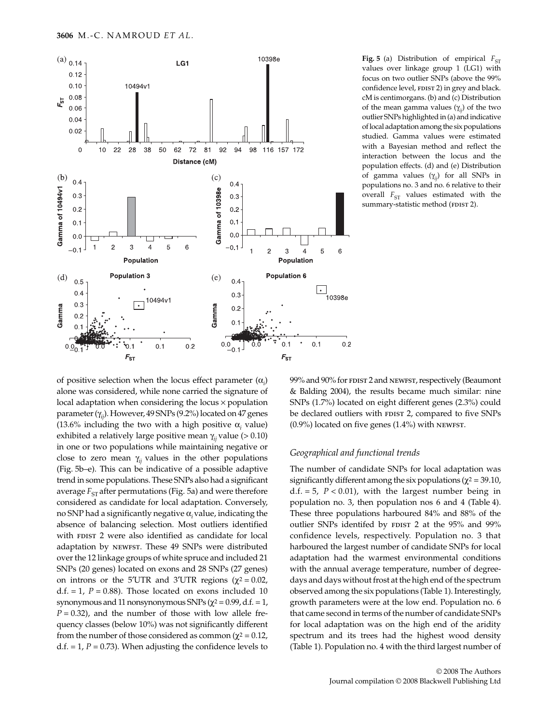

**Fig. 5** (a) Distribution of empirical  $F_{ST}$ values over linkage group 1 (LG1) with focus on two outlier SNPs (above the 99% confidence level, FDIST 2) in grey and black. cM is centimorgans. (b) and (c) Distribution of the mean gamma values (γ*ij*) of the two outlier SNPs highlighted in (a) and indicative of local adaptation among the six populations studied. Gamma values were estimated with a Bayesian method and reflect the interaction between the locus and the population effects. (d) and (e) Distribution of gamma values (γ*ij*) for all SNPs in populations no. 3 and no. 6 relative to their overall  $F_{\text{ST}}$  values estimated with the summary-statistic method (FDIST 2).

of positive selection when the locus effect parameter (α*<sup>i</sup>* ) alone was considered, while none carried the signature of local adaptation when considering the locus  $\times$  population parameter (γ*ij*). However, 49 SNPs (9.2%) located on 47 genes (13.6% including the two with a high positive  $\alpha$ <sub>i</sub> value) exhibited a relatively large positive mean γ*ij* value (> 0.10) in one or two populations while maintaining negative or close to zero mean  $\gamma_{ii}$  values in the other populations (Fig. 5b–e). This can be indicative of a possible adaptive trend in some populations. These SNPs also had a significant average  $F_{ST}$  after permutations (Fig. 5a) and were therefore considered as candidate for local adaptation. Conversely, no SNP had a significantly negative α*i* value, indicating the absence of balancing selection. Most outliers identified with FDIST 2 were also identified as candidate for local adaptation by NEWFST. These 49 SNPs were distributed over the 12 linkage groups of white spruce and included 21 SNPs (20 genes) located on exons and 28 SNPs (27 genes) on introns or the 5′UTR and 3′UTR regions ( $χ$ <sup>2</sup> = 0.02, d.f.  $= 1$ ,  $P = 0.88$ ). Those located on exons included 10 synonymous and 11 nonsynonymous SNPs ( $\chi^2$  = 0.99, d.f. = 1,  $P = 0.32$ ), and the number of those with low allele frequency classes (below 10%) was not significantly different from the number of those considered as common ( $\chi^2 = 0.12$ , d.f.  $= 1, P = 0.73$ ). When adjusting the confidence levels to

99% and 90% for FDIST 2 and NEWFST, respectively (Beaumont & Balding 2004), the results became much similar: nine SNPs (1.7%) located on eight different genes (2.3%) could be declared outliers with FDIST 2, compared to five SNPs  $(0.9\%)$  located on five genes  $(1.4\%)$  with NEWFST.

# *Geographical and functional trends*

The number of candidate SNPs for local adaptation was significantly different among the six populations ( $\chi^2$  = 39.10, d.f.  $= 5$ ,  $P < 0.01$ ), with the largest number being in population no. 3, then population nos 6 and 4 (Table 4). These three populations harboured 84% and 88% of the outlier SNPs identifed by FDIST 2 at the 95% and 99% confidence levels, respectively. Population no. 3 that harboured the largest number of candidate SNPs for local adaptation had the warmest environmental conditions with the annual average temperature, number of degreedays and days without frost at the high end of the spectrum observed among the six populations (Table 1). Interestingly, growth parameters were at the low end. Population no. 6 that came second in terms of the number of candidate SNPs for local adaptation was on the high end of the aridity spectrum and its trees had the highest wood density (Table 1). Population no. 4 with the third largest number of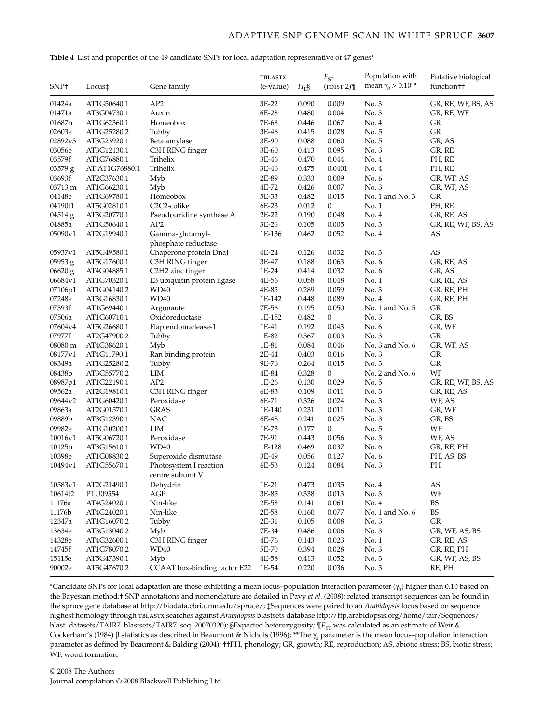Table 4 List and properties of the 49 candidate SNPs for local adaptation representative of 47 genes\*

|                  |                            |                                            | <b>TBLASTX</b>  |                | $F_{ST}$       | Population with               | Putative biological    |
|------------------|----------------------------|--------------------------------------------|-----------------|----------------|----------------|-------------------------------|------------------------|
| SNP+             | Locus‡                     | Gene family                                | (e-value)       | $H_{\rm E}$ §  | (FDIST 2)      | mean γ <sub>ij</sub> > 0.10** | function <sup>++</sup> |
| 01424a           | AT1G50640.1                | AP2                                        | 3E-22           | 0.090          | 0.009          | No. 3                         | GR, RE, WF, BS, AS     |
| 01471a           | AT3G04730.1                | Auxin                                      | 6E-28           | 0.480          | 0.004          | No.3                          | GR, RE, WF             |
| 01687n           | AT1G62360.1                | Homeobox                                   | 7E-68           | 0.446          | 0.067          | No. 4                         | GR                     |
| 02603e           | AT1G25280.2                | Tubby                                      | 3E-46           | 0.415          | 0.028          | No. 5                         | GR                     |
| 02892v3          | AT3G23920.1                | Beta amylase                               | 3E-90           | 0.088          | 0.060          | No. 5                         | GR, AS                 |
| 03056e           | AT3G12130.1                | C3H RING finger                            | 3E-60           | 0.413          | 0.095          | No. 3                         | GR, RE                 |
| 03579f           | AT1G76880.1                | Trihelix                                   | 3E-46           | 0.470          | 0.044          | No.4                          | PH, RE                 |
| 03579 g          | AT AT1G76880.1             | Trihelix                                   | 3E-46           | 0.475          | 0.0401         | No. 4                         | PH, RE                 |
| 03693f           | AT2G37630.1                | Myb                                        | 2E-89           | 0.333          | 0.009          | No. 6                         | GR, WF, AS             |
| 03713 m          | AT1G66230.1                | Myb                                        | 4E-72           | 0.426          | 0.007          | No. 3                         | GR, WF, AS             |
| 04148e           | AT1G69780.1                | Homeobox                                   | 5E-33           | 0.482          | 0.015          | No. 1 and No. $3$             | GR                     |
| 04190t1          | AT5G02810.1                | C <sub>2</sub> C <sub>2</sub> -colike      | 6E-23           | 0.012          | 0              | No. 1                         | PH, RE                 |
| 04514 g          | AT3G20770.1                | Pseudouridine synthase A                   | 2E-22           | 0.190          | 0.048          | No. 4                         | GR, RE, AS             |
| 04885a           | AT1G50640.1                | AP2                                        | 3E-26           | 0.105          | 0.005          | No. 3                         | GR, RE, WF, BS, AS     |
| 05090v1          | AT2G19940.1                | Gamma-glutamyl-                            | 1E-136          | 0.462          | 0.052          | No. 4                         | AS                     |
|                  |                            | phosphate reductase                        |                 |                |                |                               |                        |
| 05937v1          | AT5G49580.1                | Chaperone protein DnaJ                     | 4E-24           | 0.126          | 0.032          | No. 3                         | AS                     |
| 05953 g          | AT5G17600.1                | C3H RING finger                            | 3E-47           | 0.188          | 0.063          | No. 6                         | GR, RE, AS             |
| $06620$ g        | AT4G04885.1                | C2H2 zinc finger                           | 1E-24           | 0.414          | 0.032          | No. 6                         | GR, AS                 |
| 06684v1          | AT1G70320.1                | E3 ubiquitin protein ligase                | 4E-56           | 0.058          | 0.048          | No.1                          | GR, RE, AS             |
| 07106p1          | AT1G04140.2                | WD40                                       | 4E-85           | 0.289          | 0.059          | No.3                          | GR, RE, PH             |
| 07248e           | AT3G16830.1                | WD40                                       | 1E-142          | 0.448          | 0.089          | No. 4                         | GR, RE, PH             |
| 07393f           | AT1G69440.1                | Argonaute                                  | 7E-56           | 0.195          | 0.050          | No. 1 and No. $5$             | GR                     |
| 07506a           | AT1G60710.1                | Oxidoreductase                             | 1E-152          | 0.482          | 0              | No. 3                         | GR, BS                 |
| 07604v4          | AT5G26680.1                | Flap endonuclease-1                        | 1E-41           | 0.192          | 0.043          | No. 6                         | GR, WF                 |
| 07977f           | AT2G47900.2                | Tubby                                      | 1E-82           | 0.367          | 0.003          | No.3                          | GR                     |
| 08080 m          | AT4G38620.1                | Myb                                        | 1E-81           | 0.084          | 0.046          | No. 3 and No. 6               | GR, WF, AS             |
| 08177v1          | AT4G11790.1                |                                            | 2E-44           | 0.403          | 0.016          | No.3                          | GR                     |
| 08349a           | AT1G25280.2                | Ran binding protein<br>Tubby               | 9E-76           | 0.264          | 0.015          | No.3                          | GR                     |
| 08438b           | AT3G55770.2                | LIM                                        | 4E-84           | 0.328          | 0              | No. 2 and No. 6               | WF                     |
| 08987p1          | AT1G22190.1                | AP2                                        | 1E-26           | 0.130          | 0.029          | No. 5                         | GR, RE, WF, BS, AS     |
| 09562a           | AT2G19810.1                | C3H RING finger                            | 6E-83           | 0.109          | 0.011          | No.3                          | GR, RE, AS             |
| 09644v2          | AT1G60420.1                | Peroxidase                                 | 6E-71           | 0.326          | 0.024          | No.3                          | WF, AS                 |
| 09863a           |                            | <b>GRAS</b>                                |                 | 0.231          | 0.011          |                               |                        |
| 09889b           | AT2G01570.1<br>AT3G12390.1 | <b>NAC</b>                                 | 1E-140<br>6E-48 | 0.241          | 0.025          | No.3<br>No. 3                 | GR, WF<br>GR, BS       |
| 09982e           | AT1G10200.1                | LIM                                        | 1E-73           | 0.177          | 0              | No. 5                         | WF                     |
|                  |                            | Peroxidase                                 | 7E-91           |                | 0.056          |                               | WF, AS                 |
| 10016v1          | AT5G06720.1<br>AT3G15610.1 | WD <sub>40</sub>                           |                 | 0.443<br>0.469 |                | No.3                          |                        |
| 10125n           |                            |                                            | 1E-128          |                | 0.037          | No. 6                         | GR, RE, PH             |
| 10398e           | AT1G08830.2                | Superoxide dismutase                       | 3E-49           | 0.056          | 0.127          | No. 6                         | PH, AS, BS             |
| 10494v1          | AT1G55670.1                | Photosystem I reaction<br>centre subunit V | 6E-53           | 0.124          | 0.084          | No. 3                         | PН                     |
| 10583v1          | AT2G21490.1                | Dehydrin                                   | 1E-21           | 0.473          | 0.035          | No. 4                         | AS                     |
| 10614t2          | PTU09554                   | $AGP$                                      | 3E-85           | 0.338          | 0.013          | No. 3                         | WF                     |
| 11176a           | AT4G24020.1                | Nin-like                                   | 2E-58           | 0.141          | 0.061          | No.4                          | <b>BS</b>              |
| 11176b           | AT4G24020.1                | Nin-like                                   | 2E-58           | 0.160          | 0.077          | No. 1 and No. 6               | BS                     |
|                  |                            |                                            |                 |                |                |                               |                        |
| 12347a<br>13634e | AT1G16070.2<br>AT3G13040.2 | Tubby<br>Myb                               | 2E-31<br>7E-34  | 0.105<br>0.486 | 0.008<br>0.006 | No. 3<br>No. 3                | GR<br>GR, WF, AS, BS   |
| 14328e           | AT4G32600.1                | C3H RING finger                            | 4E-76           | 0.143          | 0.023          | No.1                          | GR, RE, AS             |
| 14745f           | AT1G78070.2                | WD <sub>40</sub>                           | 5E-70           | 0.394          | 0.028          | No. 3                         |                        |
| 15115e           |                            |                                            | 4E-58           | 0.413          | 0.052          |                               | GR, RE, PH             |
| 90002e           | AT5G47390.1                | Myb                                        |                 |                |                | No. 3                         | GR, WF, AS, BS         |
|                  | AT5G47670.2                | CCAAT box-binding factor E22               | 1E-54           | 0.220          | 0.036          | No. 3                         | RE, PH                 |

\*Candidate SNPs for local adaptation are those exhibiting a mean locus–population interaction parameter (γ*ij*) higher than 0.10 based on the Bayesian method;† SNP annotations and nomenclature are detailed in Pavy *et al*. (2008); related transcript sequences can be found in the spruce gene database at [http://biodata.cbri.umn.edu/spruce/;](http://biodata.cbri.umn.edu/spruce/) ‡Sequences were paired to an *Arabidopsis* locus based on sequence highest homology through tblastx searches against *Arabidopsis* blastsets database [\(ftp://ftp.arabidopsis.org/home/tair/Sequences/](ftp://ftp.arabidopsis.org/home/tair/Sequences/blast_datasets/TAIR7_blastsets/TAIR7_seq_20070320) [blast\\_datasets/TAIR7\\_blastsets/TAIR7\\_seq\\_20070320\)](ftp://ftp.arabidopsis.org/home/tair/Sequences/blast_datasets/TAIR7_blastsets/TAIR7_seq_20070320); §Expected heterozygosity;  $\mathbb{F}_{ST}$  was calculated as an estimate of Weir & Cockerham's (1984) β statistics as described in Beaumont & Nichols (1996); \*\*The γ*ij* parameter is the mean locus–population interaction parameter as defined by Beaumont & Balding (2004); ††PH, phenology; GR, growth; RE, reproduction; AS, abiotic stress; BS, biotic stress; WF, wood formation.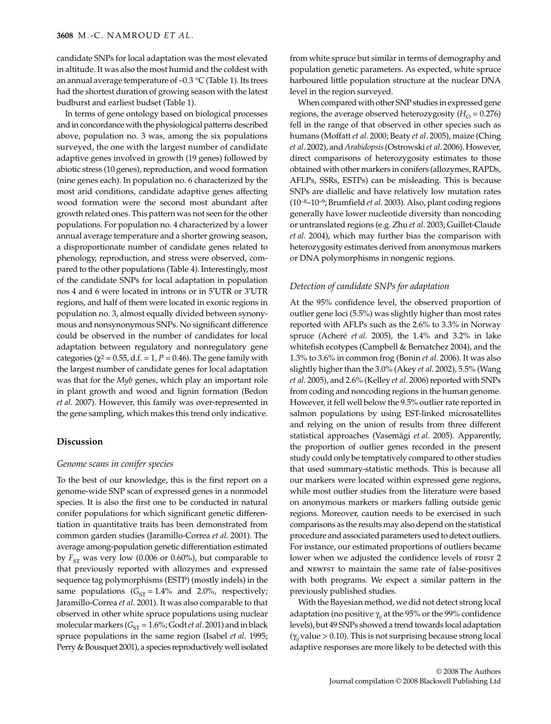candidate SNPs for local adaptation was the most elevated in altitude. It was also the most humid and the coldest with an annual average temperature of  $-0.3$  °C (Table 1). Its trees had the shortest duration of growing season with the latest budburst and earliest budset (Table 1).

In terms of gene ontology based on biological processes and in concordance with the physiological patterns described above, population no. 3 was, among the six populations surveyed, the one with the largest number of candidate adaptive genes involved in growth (19 genes) followed by abiotic stress (10 genes), reproduction, and wood formation (nine genes each). In population no. 6 characterized by the most arid conditions, candidate adaptive genes affecting wood formation were the second most abundant after growth related ones. This pattern was not seen for the other populations. For population no. 4 characterized by a lower annual average temperature and a shorter growing season, a disproportionate number of candidate genes related to phenology, reproduction, and stress were observed, compared to the other populations (Table 4). Interestingly, most of the candidate SNPs for local adaptation in population nos 4 and 6 were located in introns or in 5′UTR or 3′UTR regions, and half of them were located in exonic regions in population no. 3, almost equally divided between synonymous and nonsynonymous SNPs. No significant difference could be observed in the number of candidates for local adaptation between regulatory and nonregulatory gene categories ( $\chi^2$  = 0.55, d.f. = 1, *P* = 0.46). The gene family with the largest number of candidate genes for local adaptation was that for the *Myb* genes, which play an important role in plant growth and wood and lignin formation (Bedon *et al*. 2007). However, this family was over-represented in the gene sampling, which makes this trend only indicative.

#### **Discussion**

## *Genome scans in conifer species*

To the best of our knowledge, this is the first report on a genome-wide SNP scan of expressed genes in a nonmodel species. It is also the first one to be conducted in natural conifer populations for which significant genetic differentiation in quantitative traits has been demonstrated from common garden studies (Jaramillo-Correa *et al*. 2001). The average among-population genetic differentiation estimated by  $F_{ST}$  was very low (0.006 or 0.60%), but comparable to that previously reported with allozymes and expressed sequence tag polymorphisms (ESTP) (mostly indels) in the same populations  $(G_{ST} = 1.4\%$  and 2.0%, respectively; Jaramillo-Correa *et al*. 2001). It was also comparable to that observed in other white spruce populations using nuclear molecular markers ( $G_{ST}$  = 1.6%; Godt *et al*. 2001) and in black spruce populations in the same region (Isabel *et al*. 1995; Perry & Bousquet 2001), a species reproductively well isolated from white spruce but similar in terms of demography and population genetic parameters. As expected, white spruce harboured little population structure at the nuclear DNA level in the region surveyed.

When compared with other SNP studies in expressed gene regions, the average observed heterozygosity  $(H<sub>O</sub> = 0.276)$ fell in the range of that observed in other species such as humans (Moffatt *et al*. 2000; Beaty *et al*. 2005), maize (Ching *et al*. 2002), and *Arabidopsis* (Ostrowski *et al*. 2006). However, direct comparisons of heterozygosity estimates to those obtained with other markers in conifers (allozymes, RAPDs, AFLPs, SSRs, ESTPs) can be misleading. This is because SNPs are diallelic and have relatively low mutation rates (10–8–10–9; Brumfield *et al*. 2003). Also, plant coding regions generally have lower nucleotide diversity than noncoding or untranslated regions (e.g. Zhu *et al*. 2003; Guillet-Claude *et al*. 2004), which may further bias the comparison with heterozygosity estimates derived from anonymous markers or DNA polymorphisms in nongenic regions.

## *Detection of candidate SNPs for adaptation*

At the 95% confidence level, the observed proportion of outlier gene loci (5.5%) was slightly higher than most rates reported with AFLPs such as the 2.6% to 3.3% in Norway spruce (Acheré *et al*. 2005), the 1.4% and 3.2% in lake whitefish ecotypes (Campbell & Bernatchez 2004), and the 1.3% to 3.6% in common frog (Bonin *et al*. 2006). It was also slightly higher than the 3.0% (Akey *et al*. 2002), 5.5% (Wang *et al*. 2005), and 2.6% (Kelley *et al*. 2006) reported with SNPs from coding and noncoding regions in the human genome. However, it fell well below the 9.5% outlier rate reported in salmon populations by using EST-linked microsatellites and relying on the union of results from three different statistical approaches (Vasemägi *et al*. 2005). Apparently, the proportion of outlier genes recorded in the present study could only be temptatively compared to other studies that used summary-statistic methods. This is because all our markers were located within expressed gene regions, while most outlier studies from the literature were based on anonymous markers or markers falling outside genic regions. Moreover, caution needs to be exercised in such comparisons as the results may also depend on the statistical procedure and associated parameters used to detect outliers. For instance, our estimated proportions of outliers became lower when we adjusted the confidence levels of FDIST 2 and newfst to maintain the same rate of false-positives with both programs. We expect a similar pattern in the previously published studies.

With the Bayesian method, we did not detect strong local adaptation (no positive  $\gamma_{ii}$  at the 95% or the 99% confidence levels), but 49 SNPs showed a trend towards local adaptation (γ*ij* value > 0.10). This is not surprising because strong local adaptive responses are more likely to be detected with this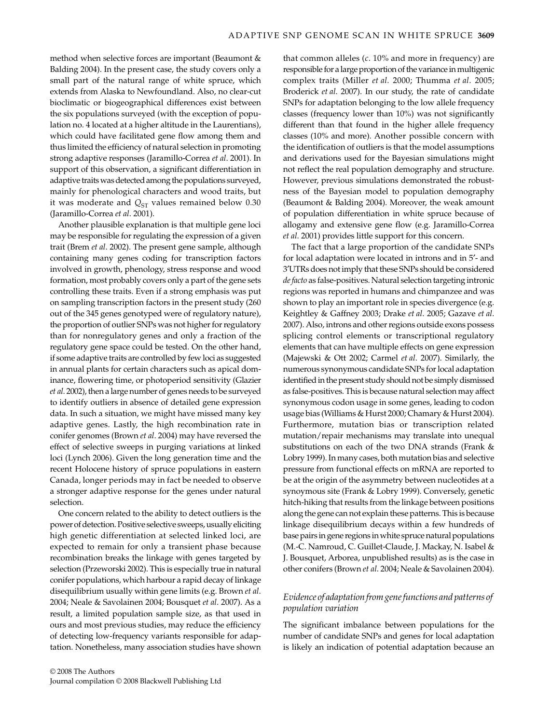method when selective forces are important (Beaumont & Balding 2004). In the present case, the study covers only a small part of the natural range of white spruce, which extends from Alaska to Newfoundland. Also, no clear-cut bioclimatic or biogeographical differences exist between the six populations surveyed (with the exception of population no. 4 located at a higher altitude in the Laurentians), which could have facilitated gene flow among them and thus limited the efficiency of natural selection in promoting strong adaptive responses (Jaramillo-Correa *et al*. 2001). In support of this observation, a significant differentiation in adaptive traits was detected among the populations surveyed, mainly for phenological characters and wood traits, but it was moderate and  $Q_{ST}$  values remained below 0.30 (Jaramillo-Correa *et al*. 2001).

Another plausible explanation is that multiple gene loci may be responsible for regulating the expression of a given trait (Brem *et al*. 2002). The present gene sample, although containing many genes coding for transcription factors involved in growth, phenology, stress response and wood formation, most probably covers only a part of the gene sets controlling these traits. Even if a strong emphasis was put on sampling transcription factors in the present study (260 out of the 345 genes genotyped were of regulatory nature), the proportion of outlier SNPs was not higher for regulatory than for nonregulatory genes and only a fraction of the regulatory gene space could be tested. On the other hand, if some adaptive traits are controlled by few loci as suggested in annual plants for certain characters such as apical dominance, flowering time, or photoperiod sensitivity (Glazier *et al*. 2002), then a large number of genes needs to be surveyed to identify outliers in absence of detailed gene expression data. In such a situation, we might have missed many key adaptive genes. Lastly, the high recombination rate in conifer genomes (Brown *et al*. 2004) may have reversed the effect of selective sweeps in purging variations at linked loci (Lynch 2006). Given the long generation time and the recent Holocene history of spruce populations in eastern Canada, longer periods may in fact be needed to observe a stronger adaptive response for the genes under natural selection.

One concern related to the ability to detect outliers is the power of detection. Positive selective sweeps, usually eliciting high genetic differentiation at selected linked loci, are expected to remain for only a transient phase because recombination breaks the linkage with genes targeted by selection (Przeworski 2002). This is especially true in natural conifer populations, which harbour a rapid decay of linkage disequilibrium usually within gene limits (e.g. Brown *et al*. 2004; Neale & Savolainen 2004; Bousquet *et al*. 2007). As a result, a limited population sample size, as that used in ours and most previous studies, may reduce the efficiency of detecting low-frequency variants responsible for adaptation. Nonetheless, many association studies have shown

© 2008 The Authors Journal compilation © 2008 Blackwell Publishing Ltd that common alleles (*c*. 10% and more in frequency) are responsible for a large proportion of the variance in multigenic complex traits (Miller *et al*. 2000; Thumma *et al*. 2005; Broderick *et al*. 2007). In our study, the rate of candidate SNPs for adaptation belonging to the low allele frequency classes (frequency lower than 10%) was not significantly different than that found in the higher allele frequency classes (10% and more). Another possible concern with the identification of outliers is that the model assumptions and derivations used for the Bayesian simulations might not reflect the real population demography and structure. However, previous simulations demonstrated the robustness of the Bayesian model to population demography (Beaumont & Balding 2004). Moreover, the weak amount of population differentiation in white spruce because of allogamy and extensive gene flow (e.g. Jaramillo-Correa *et al*. 2001) provides little support for this concern.

The fact that a large proportion of the candidate SNPs for local adaptation were located in introns and in 5′- and 3′UTRs does not imply that these SNPs should be considered *de facto* as false-positives. Natural selection targeting intronic regions was reported in humans and chimpanzee and was shown to play an important role in species divergence (e.g. Keightley & Gaffney 2003; Drake *et al*. 2005; Gazave *et al*. 2007). Also, introns and other regions outside exons possess splicing control elements or transcriptional regulatory elements that can have multiple effects on gene expression (Majewski & Ott 2002; Carmel *et al*. 2007). Similarly, the numerous synonymous candidate SNPs for local adaptation identified in the present study should not be simply dismissed as false-positives. This is because natural selection may affect synonymous codon usage in some genes, leading to codon usage bias (Williams & Hurst 2000; Chamary & Hurst 2004). Furthermore, mutation bias or transcription related mutation/repair mechanisms may translate into unequal substitutions on each of the two DNA strands (Frank & Lobry 1999). In many cases, both mutation bias and selective pressure from functional effects on mRNA are reported to be at the origin of the asymmetry between nucleotides at a synoymous site (Frank & Lobry 1999). Conversely, genetic hitch-hiking that results from the linkage between positions along the gene can not explain these patterns. This is because linkage disequilibrium decays within a few hundreds of base pairs in gene regions in white spruce natural populations (M.-C. Namroud, C. Guillet-Claude, J. Mackay, N. Isabel & J. Bousquet, Arborea, unpublished results) as is the case in other conifers (Brown *et al*. 2004; Neale & Savolainen 2004).

# *Evidence of adaptation from gene functions and patterns of population variation*

The significant imbalance between populations for the number of candidate SNPs and genes for local adaptation is likely an indication of potential adaptation because an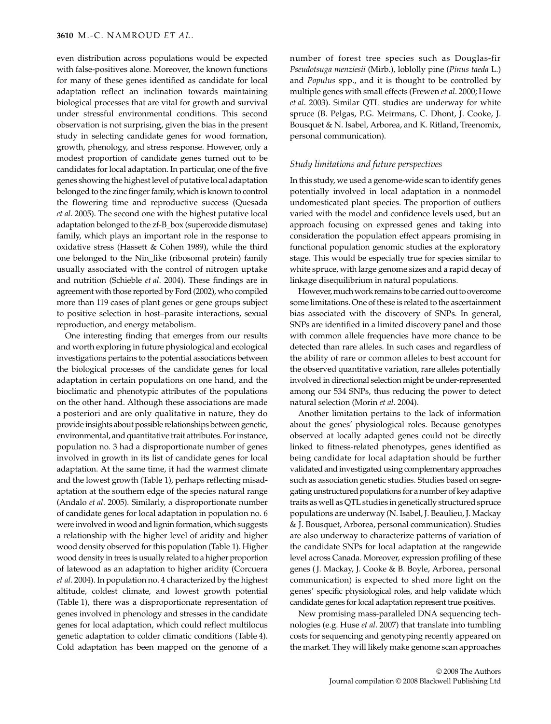even distribution across populations would be expected with false-positives alone. Moreover, the known functions for many of these genes identified as candidate for local adaptation reflect an inclination towards maintaining biological processes that are vital for growth and survival under stressful environmental conditions. This second observation is not surprising, given the bias in the present study in selecting candidate genes for wood formation, growth, phenology, and stress response. However, only a modest proportion of candidate genes turned out to be candidates for local adaptation. In particular, one of the five genes showing the highest level of putative local adaptation belonged to the zinc finger family, which is known to control the flowering time and reproductive success (Quesada *et al*. 2005). The second one with the highest putative local adaptation belonged to the zf-B\_box (superoxide dismutase) family, which plays an important role in the response to oxidative stress (Hassett & Cohen 1989), while the third one belonged to the Nin\_like (ribosomal protein) family usually associated with the control of nitrogen uptake and nutrition (Schieble *et al*. 2004). These findings are in agreement with those reported by Ford (2002), who compiled more than 119 cases of plant genes or gene groups subject to positive selection in host–parasite interactions, sexual reproduction, and energy metabolism.

One interesting finding that emerges from our results and worth exploring in future physiological and ecological investigations pertains to the potential associations between the biological processes of the candidate genes for local adaptation in certain populations on one hand, and the bioclimatic and phenotypic attributes of the populations on the other hand. Although these associations are made a posteriori and are only qualitative in nature, they do provide insights about possible relationships between genetic, environmental, and quantitative trait attributes. For instance, population no. 3 had a disproportionate number of genes involved in growth in its list of candidate genes for local adaptation. At the same time, it had the warmest climate and the lowest growth (Table 1), perhaps reflecting misadaptation at the southern edge of the species natural range (Andalo *et al*. 2005). Similarly, a disproportionate number of candidate genes for local adaptation in population no. 6 were involved in wood and lignin formation, which suggests a relationship with the higher level of aridity and higher wood density observed for this population (Table 1). Higher wood density in trees is usually related to a higher proportion of latewood as an adaptation to higher aridity (Corcuera *et al*. 2004). In population no. 4 characterized by the highest altitude, coldest climate, and lowest growth potential (Table 1), there was a disproportionate representation of genes involved in phenology and stresses in the candidate genes for local adaptation, which could reflect multilocus genetic adaptation to colder climatic conditions (Table 4). Cold adaptation has been mapped on the genome of a

number of forest tree species such as Douglas-fir *Pseudotsuga menziesii* (Mirb.), loblolly pine (*Pinus taeda* L.) and *Populus* spp., and it is thought to be controlled by multiple genes with small effects (Frewen *et al*. 2000; Howe *et al*. 2003). Similar QTL studies are underway for white spruce (B. Pelgas, P.G. Meirmans, C. Dhont, J. Cooke, J. Bousquet & N. Isabel, Arborea, and K. Ritland, Treenomix, personal communication).

# *Study limitations and future perspectives*

In this study, we used a genome-wide scan to identify genes potentially involved in local adaptation in a nonmodel undomesticated plant species. The proportion of outliers varied with the model and confidence levels used, but an approach focusing on expressed genes and taking into consideration the population effect appears promising in functional population genomic studies at the exploratory stage. This would be especially true for species similar to white spruce, with large genome sizes and a rapid decay of linkage disequilibrium in natural populations.

However, much work remains to be carried out to overcome some limitations. One of these is related to the ascertainment bias associated with the discovery of SNPs. In general, SNPs are identified in a limited discovery panel and those with common allele frequencies have more chance to be detected than rare alleles. In such cases and regardless of the ability of rare or common alleles to best account for the observed quantitative variation, rare alleles potentially involved in directional selection might be under-represented among our 534 SNPs, thus reducing the power to detect natural selection (Morin *et al*. 2004).

Another limitation pertains to the lack of information about the genes' physiological roles. Because genotypes observed at locally adapted genes could not be directly linked to fitness-related phenotypes, genes identified as being candidate for local adaptation should be further validated and investigated using complementary approaches such as association genetic studies. Studies based on segregating unstructured populations for a number of key adaptive traits as well as QTL studies in genetically structured spruce populations are underway (N. Isabel, J. Beaulieu, J. Mackay & J. Bousquet, Arborea, personal communication). Studies are also underway to characterize patterns of variation of the candidate SNPs for local adaptation at the rangewide level across Canada. Moreover, expression profiling of these genes ( J. Mackay, J. Cooke & B. Boyle, Arborea, personal communication) is expected to shed more light on the genes' specific physiological roles, and help validate which candidate genes for local adaptation represent true positives.

New promising mass-paralleled DNA sequencing technologies (e.g. Huse *et al*. 2007) that translate into tumbling costs for sequencing and genotyping recently appeared on the market. They will likely make genome scan approaches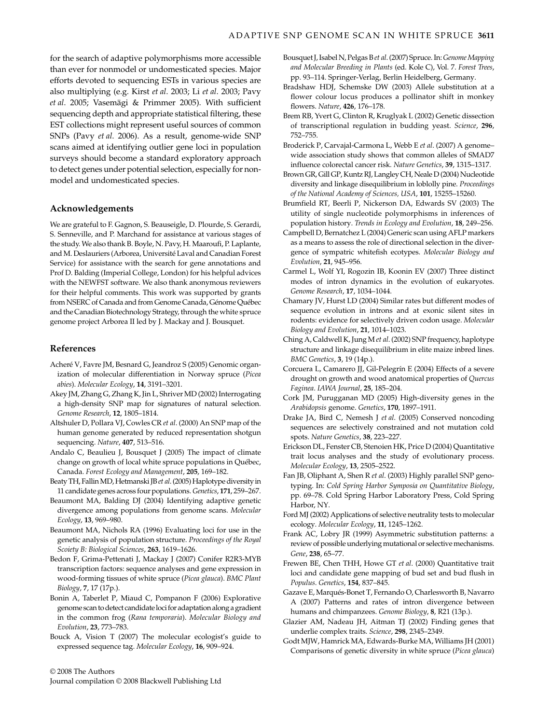for the search of adaptive polymorphisms more accessible than ever for nonmodel or undomesticated species. Major efforts devoted to sequencing ESTs in various species are also multiplying (e.g. Kirst *et al*. 2003; Li *et al*. 2003; Pavy *et al*. 2005; Vasemägi & Primmer 2005). With sufficient sequencing depth and appropriate statistical filtering, these EST collections might represent useful sources of common SNPs (Pavy *et al*. 2006). As a result, genome-wide SNP scans aimed at identifying outlier gene loci in population surveys should become a standard exploratory approach to detect genes under potential selection, especially for nonmodel and undomesticated species.

#### **Acknowledgements**

We are grateful to F. Gagnon, S. Beauseigle, D. Plourde, S. Gerardi, S. Senneville, and P. Marchand for assistance at various stages of the study. We also thank B. Boyle, N. Pavy, H. Maaroufi, P. Laplante, and M. Deslauriers (Arborea, Université Laval and Canadian Forest Service) for assistance with the search for gene annotations and Prof D. Balding (Imperial College, London) for his helpful advices with the NEWFST software. We also thank anonymous reviewers for their helpful comments. This work was supported by grants from NSERC of Canada and from Genome Canada, Génome Québec and the Canadian Biotechnology Strategy, through the white spruce genome project Arborea II led by J. Mackay and J. Bousquet.

#### **References**

- Acheré V, Favre JM, Besnard G, Jeandroz S (2005) Genomic organization of molecular differentiation in Norway spruce (*Picea abies*). *Molecular Ecology*, **14**, 3191–3201.
- Akey JM, Zhang G, Zhang K, Jin L, Shriver MD (2002) Interrogating a high-density SNP map for signatures of natural selection. *Genome Research*, **12**, 1805–1814.
- Altshuler D, Pollara VJ, Cowles CR *et al*. (2000) An SNP map of the human genome generated by reduced representation shotgun sequencing. *Nature*, **407**, 513–516.
- Andalo C, Beaulieu J, Bousquet J (2005) The impact of climate change on growth of local white spruce populations in Québec, Canada. *Forest Ecology and Management*, **205**, 169–182.
- Beaty TH, Fallin MD, Hetmanski JB *et al*. (2005) Haplotype diversity in 11 candidate genes across four populations. *Genetics*, **171**, 259–267.
- Beaumont MA, Balding DJ (2004) Identifying adaptive genetic divergence among populations from genome scans. *Molecular Ecology*, **13**, 969–980.
- Beaumont MA, Nichols RA (1996) Evaluating loci for use in the genetic analysis of population structure. *Proceedings of the Royal Scoiety B: Biological Sciences*, **263**, 1619–1626.
- Bedon F, Grima-Pettenati J, Mackay J (2007) Conifer R2R3-MYB transcription factors: sequence analyses and gene expression in wood-forming tissues of white spruce (*Picea glauca*). *BMC Plant Biology*, **7**, 17 (17p.).
- Bonin A, Taberlet P, Miaud C, Pompanon F (2006) Explorative genome scan to detect candidate loci for adaptation along a gradient in the common frog (*Rana temporaria*). *Molecular Biology and Evolution*, **23**, 773–783.
- Bouck A, Vision T (2007) The molecular ecologist's guide to expressed sequence tag. *Molecular Ecology*, **16**, 909–924.

Bousquet J, Isabel N, Pelgas B *et al*. (2007) Spruce. In: *Genome Mapping and Molecular Breeding in Plants* (ed. Kole C), Vol. 7. *Forest Trees*, pp. 93–114. Springer-Verlag, Berlin Heidelberg, Germany.

- Bradshaw HDJ, Schemske DW (2003) Allele substitution at a flower colour locus produces a pollinator shift in monkey flowers. *Nature*, **426**, 176–178.
- Brem RB, Yvert G, Clinton R, Kruglyak L (2002) Genetic dissection of transcriptional regulation in budding yeast. *Science*, **296**, 752–755.
- Broderick P, Carvajal-Carmona L, Webb E *et al*. (2007) A genome– wide association study shows that common alleles of SMAD7 influence colorectal cancer risk. *Nature Genetics*, **39**, 1315–1317.
- Brown GR, Gill GP, Kuntz RJ, Langley CH, Neale D (2004) Nucleotide diversity and linkage disequilibrium in loblolly pine. *Proceedings of the National Academy of Sciences, USA*, **101**, 15255–15260.
- Brumfield RT, Beerli P, Nickerson DA, Edwards SV (2003) The utility of single nucleotide polymorphisms in inferences of population history. *Trends in Ecology and Evolution*, **18**, 249–256.
- Campbell D, Bernatchez L (2004) Generic scan using AFLP markers as a means to assess the role of directional selection in the divergence of sympatric whitefish ecotypes. *Molecular Biology and Evolution*, **21**, 945–956.
- Carmel L, Wolf YI, Rogozin IB, Koonin EV (2007) Three distinct modes of intron dynamics in the evolution of eukaryotes. *Genome Research*, **17**, 1034–1044.
- Chamary JV, Hurst LD (2004) Similar rates but different modes of sequence evolution in introns and at exonic silent sites in rodents: evidence for selectively driven codon usage. *Molecular Biology and Evolution*, **21**, 1014–1023.
- Ching A, Caldwell K, Jung M *et al*. (2002) SNP frequency, haplotype structure and linkage disequilibrium in elite maize inbred lines. *BMC Genetics*, **3**, 19 (14p.).
- Corcuera L, Camarero JJ, Gil-Pelegrín E (2004) Effects of a severe drought on growth and wood anatomical properties of *Quercus Faginea*. *IAWA Journal*, **25**, 185–204.
- Cork JM, Purugganan MD (2005) High-diversity genes in the *Arabidopsis* genome. *Genetics*, **170**, 1897–1911.
- Drake JA, Bird C, Nemesh J *et al*. (2005) Conserved noncoding sequences are selectively constrained and not mutation cold spots. *Nature Genetics*, **38**, 223–227.
- Erickson DL, Fenster CB, Stenoien HK, Price D (2004) Quantitative trait locus analyses and the study of evolutionary process. *Molecular Ecology*, **13**, 2505–2522.
- Fan JB, Oliphant A, Shen R *et al*. (2003) Highly parallel SNP genotyping. In: *Cold Spring Harbor Symposia on Quantitative Biology*, pp. 69–78. Cold Spring Harbor Laboratory Press, Cold Spring Harbor, NY.
- Ford MJ (2002) Applications of selective neutrality tests to molecular ecology. *Molecular Ecology*, **11**, 1245–1262.
- Frank AC, Lobry JR (1999) Asymmetric substitution patterns: a review of possible underlying mutational or selective mechanisms. *Gene*, **238**, 65–77.
- Frewen BE, Chen THH, Howe GT *et al*. (2000) Quantitative trait loci and candidate gene mapping of bud set and bud flush in *Populus*. *Genetics*, **154**, 837–845.
- Gazave E, Marqués-Bonet T, Fernando O, Charlesworth B, Navarro A (2007) Patterns and rates of intron divergence between humans and chimpanzees. *Genome Biology*, **8**, R21 (13p.).
- Glazier AM, Nadeau JH, Aitman TJ (2002) Finding genes that underlie complex traits. *Science*, **298**, 2345–2349.
- Godt MJW, Hamrick MA, Edwards-Burke MA, Williams JH (2001) Comparisons of genetic diversity in white spruce (*Picea glauca*)

© 2008 The Authors

Journal compilation © 2008 Blackwell Publishing Ltd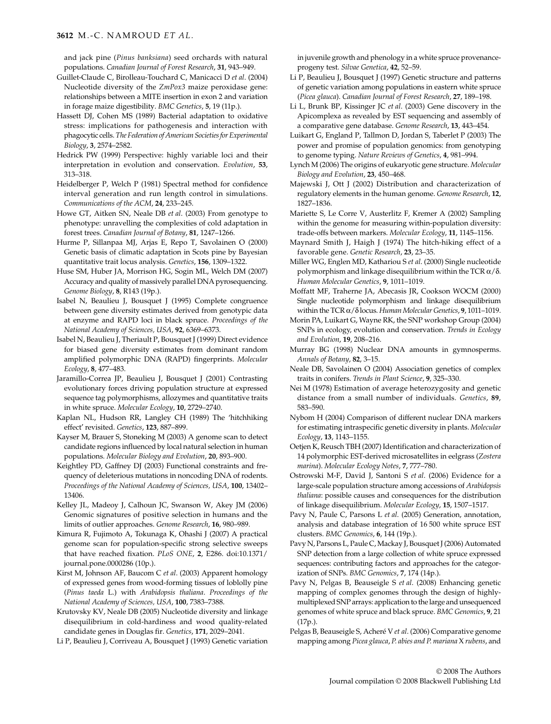#### **3612** M.-C. NAMROUD *ET AL.*

and jack pine (*Pinus banksiana*) seed orchards with natural populations. *Canadian Journal of Forest Research*, **31**, 943–949.

- Guillet-Claude C, Birolleau-Touchard C, Manicacci D *et al*. (2004) Nucleotide diversity of the *ZmPox3* maize peroxidase gene: relationships between a MITE insertion in exon 2 and variation in forage maize digestibility. *BMC Genetics*, **5**, 19 (11p.).
- Hassett DJ, Cohen MS (1989) Bacterial adaptation to oxidative stress: implications for pathogenesis and interaction with phagocytic cells. *The Federation of American Societies for Experimental Biology*, **3**, 2574–2582.
- Hedrick PW (1999) Perspective: highly variable loci and their interpretation in evolution and conservation. *Evolution*, **53**, 313–318.
- Heidelberger P, Welch P (1981) Spectral method for confidence interval generation and run length control in simulations. *Communications of the ACM*, **24**, 233–245.
- Howe GT, Aitken SN, Neale DB *et al*. (2003) From genotype to phenotype: unravelling the complexities of cold adaptation in forest trees. *Canadian Journal of Botany*, **81**, 1247–1266.
- Hurme P, Sillanpaa MJ, Arjas E, Repo T, Savolainen O (2000) Genetic basis of climatic adaptation in Scots pine by Bayesian quantitative trait locus analysis. *Genetics*, **156**, 1309–1322.
- Huse SM, Huber JA, Morrison HG, Sogin ML, Welch DM (2007) Accuracy and quality of massively parallel DNA pyrosequencing. *Genome Biology*, **8**, R143 (19p.).
- Isabel N, Beaulieu J, Bousquet J (1995) Complete congruence between gene diversity estimates derived from genotypic data at enzyme and RAPD loci in black spruce. *Proceedings of the National Academy of Sciences, USA*, **92**, 6369–6373.
- Isabel N, Beaulieu J, Theriault P, Bousquet J (1999) Direct evidence for biased gene diversity estimates from dominant random amplified polymorphic DNA (RAPD) fingerprints. *Molecular Ecology*, **8**, 477–483.
- Jaramillo-Correa JP, Beaulieu J, Bousquet J (2001) Contrasting evolutionary forces driving population structure at expressed sequence tag polymorphisms, allozymes and quantitative traits in white spruce. *Molecular Ecology*, **10**, 2729–2740.
- Kaplan NL, Hudson RR, Langley CH (1989) The 'hitchhiking effect′ revisited. *Genetics*, **123**, 887–899.
- Kayser M, Brauer S, Stoneking M (2003) A genome scan to detect candidate regions influenced by local natural selection in human populations. *Molecular Biology and Evolution*, **20**, 893–900.
- Keightley PD, Gaffney DJ (2003) Functional constraints and frequency of deleterious mutations in noncoding DNA of rodents. *Proceedings of the National Academy of Sciences, USA*, **100**, 13402– 13406.
- Kelley JL, Madeoy J, Calhoun JC, Swanson W, Akey JM (2006) Genomic signatures of positive selection in humans and the limits of outlier approaches. *Genome Research*, **16**, 980–989.
- Kimura R, Fujimoto A, Tokunaga K, Ohashi J (2007) A practical genome scan for population-specific strong selective sweeps that have reached fixation. *PLoS ONE*, **2**, E286. doi:10.1371/ journal.pone.0000286 (10p.).
- Kirst M, Johnson AF, Baucom C *et al*. (2003) Apparent homology of expressed genes from wood-forming tissues of loblolly pine (*Pinus taeda* L.) with *Arabidopsis thaliana*. *Proceedings of the National Academy of Sciences, USA*, **100**, 7383–7388.
- Krutovsky KV, Neale DB (2005) Nucleotide diversity and linkage disequilibrium in cold-hardiness and wood quality-related candidate genes in Douglas fir. *Genetics*, **171**, 2029–2041.
- Li P, Beaulieu J, Corriveau A, Bousquet J (1993) Genetic variation

in juvenile growth and phenology in a white spruce provenanceprogeny test. *Silvae Genetica*, **42**, 52–59.

- Li P, Beaulieu J, Bousquet J (1997) Genetic structure and patterns of genetic variation among populations in eastern white spruce (*Picea glauca*). *Canadian Journal of Forest Research*, **27**, 189–198.
- Li L, Brunk BP, Kissinger JC *et al*. (2003) Gene discovery in the Apicomplexa as revealed by EST sequencing and assembly of a comparative gene database. *Genome Research*, **13**, 443–454.
- Luikart G, England P, Tallmon D, Jordan S, Taberlet P (2003) The power and promise of population genomics: from genotyping to genome typing. *Nature Reviews of Genetics*, **4**, 981–994.
- Lynch M (2006) The origins of eukaryotic gene structure. *Molecular Biology and Evolution*, **23**, 450–468.
- Majewski J, Ott J (2002) Distribution and characterization of regulatory elements in the human genome. *Genome Research*, **12**, 1827–1836.
- Mariette S, Le Corre V, Austerlitz F, Kremer A (2002) Sampling within the genome for measuring within-population diversity: trade-offs between markers. *Molecular Ecology*, **11**, 1145–1156.
- Maynard Smith J, Haigh J (1974) The hitch-hiking effect of a favorable gene. *Genetic Research*, **23**, 23–35.
- Miller WG, Englen MD, Kathariou S *et al*. (2000) Single nucleotide polymorphism and linkage disequilibrium within the TCR  $\alpha/\delta$ . *Human Molecular Genetics*, **9**, 1011–1019.
- Moffatt MF, Traherne JA, Abecasis JR, Cookson WOCM (2000) Single nucleotide polymorphism and linkage disequilibrium within the TCR α/δ locus. *Human Molecular Genetics*, **9**, 1011–1019.
- Morin PA, Luikart G, Wayne RK, the SNP workshop Group (2004) SNPs in ecology, evolution and conservation. *Trends in Ecology and Evolution*, **19**, 208–216.
- Murray BG (1998) Nuclear DNA amounts in gymnosperms. *Annals of Botany*, **82**, 3–15.
- Neale DB, Savolainen O (2004) Association genetics of complex traits in conifers. *Trends in Plant Science*, **9**, 325–330.
- Nei M (1978) Estimation of average heterozygosity and genetic distance from a small number of individuals. *Genetics*, **89**, 583–590.
- Nybom H (2004) Comparison of different nuclear DNA markers for estimating intraspecific genetic diversity in plants. *Molecular Ecology*, **13**, 1143–1155.
- Oetjen K, Reusch TBH (2007) Identification and characterization of 14 polymorphic EST-derived microsatellites in eelgrass (*Zostera marina*). *Molecular Ecology Notes*, **7**, 777–780.
- Ostrowski M-F, David J, Santoni S *et al*. (2006) Evidence for a large-scale population structure among accessions of *Arabidopsis thaliana*: possible causes and consequences for the distribution of linkage disequilibrium. *Molecular Ecology*, **15**, 1507–1517.
- Pavy N, Paule C, Parsons L *et al*. (2005) Generation, annotation, analysis and database integration of 16 500 white spruce EST clusters. *BMC Genomics*, **6**, 144 (19p.).
- Pavy N, Parsons L, Paule C, Mackay J, Bousquet J (2006) Automated SNP detection from a large collection of white spruce expressed sequences: contributing factors and approaches for the categorization of SNPs. *BMC Genomics*, **7**, 174 (14p.).
- Pavy N, Pelgas B, Beauseigle S *et al*. (2008) Enhancing genetic mapping of complex genomes through the design of highlymultiplexed SNP arrays: application to the large and unsequenced genomes of white spruce and black spruce. *BMC Genomics*, **9**, 21 (17p.).
- Pelgas B, Beauseigle S, Acheré V *et al*. (2006) Comparative genome mapping among *Picea glauca*, *P. abies and P. mariana* X *rubens*, and